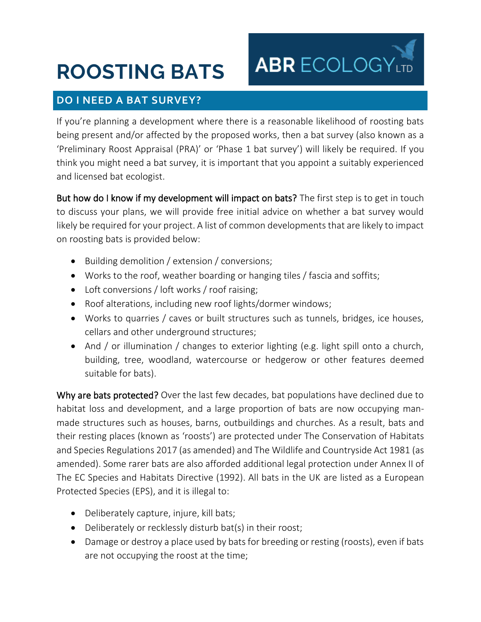# **ROOSTING BATS**

## **DO I NEED A BAT SURVEY?**

If you're planning a development where there is a reasonable likelihood of roosting bats being present and/or affected by the proposed works, then a bat survey (also known as a 'Preliminary Roost Appraisal (PRA)' or 'Phase 1 bat survey') will likely be required. If you think you might need a bat survey, it is important that you appoint a suitably experienced and licensed bat ecologist.

**ABRECOLOGY** 

But how do I know if my development will impact on bats? The first step is to get in touch to discuss your plans, we will provide free initial advice on whether a bat survey would likely be required for your project. A list of common developments that are likely to impact on roosting bats is provided below:

- Building demolition / extension / conversions;
- Works to the roof, weather boarding or hanging tiles / fascia and soffits;
- Loft conversions / loft works / roof raising;
- Roof alterations, including new roof lights/dormer windows;
- Works to quarries / caves or built structures such as tunnels, bridges, ice houses, cellars and other underground structures;
- And / or illumination / changes to exterior lighting (e.g. light spill onto a church, building, tree, woodland, watercourse or hedgerow or other features deemed suitable for bats).

Why are bats protected? Over the last few decades, bat populations have declined due to habitat loss and development, and a large proportion of bats are now occupying manmade structures such as houses, barns, outbuildings and churches. As a result, bats and their resting places (known as 'roosts') are protected under The Conservation of Habitats and Species Regulations 2017 (as amended) and The Wildlife and Countryside Act 1981 (as amended). Some rarer bats are also afforded additional legal protection under Annex II of The EC Species and Habitats Directive (1992). All bats in the UK are listed as a European Protected Species (EPS), and it is illegal to:

- Deliberately capture, injure, kill bats;
- Deliberately or recklessly disturb bat(s) in their roost;
- Damage or destroy a place used by bats for breeding or resting (roosts), even if bats are not occupying the roost at the time;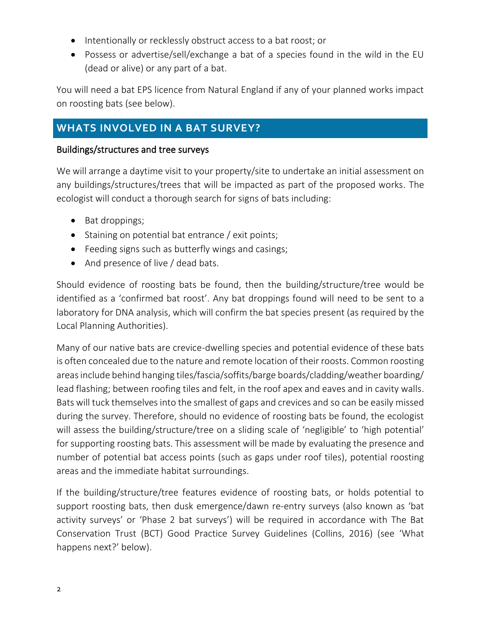- Intentionally or recklessly obstruct access to a bat roost; or
- Possess or advertise/sell/exchange a bat of a species found in the wild in the EU (dead or alive) or any part of a bat.

You will need a bat EPS licence from Natural England if any of your planned works impact on roosting bats (see below).

## **WHATS INVOLVED IN A BAT SURVEY?**

#### Buildings/structures and tree surveys

We will arrange a daytime visit to your property/site to undertake an initial assessment on any buildings/structures/trees that will be impacted as part of the proposed works. The ecologist will conduct a thorough search for signs of bats including:

- Bat droppings;
- Staining on potential bat entrance / exit points;
- Feeding signs such as butterfly wings and casings;
- And presence of live / dead bats.

Should evidence of roosting bats be found, then the building/structure/tree would be identified as a 'confirmed bat roost'. Any bat droppings found will need to be sent to a laboratory for DNA analysis, which will confirm the bat species present (as required by the Local Planning Authorities).

Many of our native bats are crevice-dwelling species and potential evidence of these bats is often concealed due to the nature and remote location of their roosts. Common roosting areasinclude behind hanging tiles/fascia/soffits/barge boards/cladding/weather boarding/ lead flashing; between roofing tiles and felt, in the roof apex and eaves and in cavity walls. Bats will tuck themselves into the smallest of gaps and crevices and so can be easily missed during the survey. Therefore, should no evidence of roosting bats be found, the ecologist will assess the building/structure/tree on a sliding scale of 'negligible' to 'high potential' for supporting roosting bats. This assessment will be made by evaluating the presence and number of potential bat access points (such as gaps under roof tiles), potential roosting areas and the immediate habitat surroundings.

If the building/structure/tree features evidence of roosting bats, or holds potential to support roosting bats, then dusk emergence/dawn re-entry surveys (also known as 'bat activity surveys' or 'Phase 2 bat surveys') will be required in accordance with The Bat Conservation Trust (BCT) Good Practice Survey Guidelines (Collins, 2016) (see 'What happens next?' below).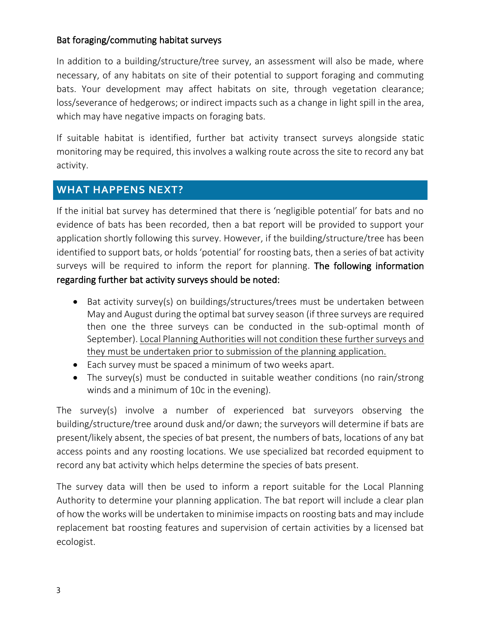### Bat foraging/commuting habitat surveys

In addition to a building/structure/tree survey, an assessment will also be made, where necessary, of any habitats on site of their potential to support foraging and commuting bats. Your development may affect habitats on site, through vegetation clearance; loss/severance of hedgerows; or indirect impacts such as a change in light spill in the area, which may have negative impacts on foraging bats.

If suitable habitat is identified, further bat activity transect surveys alongside static monitoring may be required, this involves a walking route across the site to record any bat activity.

## **WHAT HAPPENS NEXT?**

If the initial bat survey has determined that there is 'negligible potential' for bats and no evidence of bats has been recorded, then a bat report will be provided to support your application shortly following this survey. However, if the building/structure/tree has been identified to support bats, or holds 'potential' for roosting bats, then a series of bat activity surveys will be required to inform the report for planning. The following information regarding further bat activity surveys should be noted:

- Bat activity survey(s) on buildings/structures/trees must be undertaken between May and August during the optimal bat survey season (if three surveys are required then one the three surveys can be conducted in the sub-optimal month of September). Local Planning Authorities will not condition these further surveys and they must be undertaken prior to submission of the planning application.
- Each survey must be spaced a minimum of two weeks apart.
- The survey(s) must be conducted in suitable weather conditions (no rain/strong winds and a minimum of 10c in the evening).

The survey(s) involve a number of experienced bat surveyors observing the building/structure/tree around dusk and/or dawn; the surveyors will determine if bats are present/likely absent, the species of bat present, the numbers of bats, locations of any bat access points and any roosting locations. We use specialized bat recorded equipment to record any bat activity which helps determine the species of bats present.

The survey data will then be used to inform a report suitable for the Local Planning Authority to determine your planning application. The bat report will include a clear plan of how the works will be undertaken to minimise impacts on roosting bats and may include replacement bat roosting features and supervision of certain activities by a licensed bat ecologist.